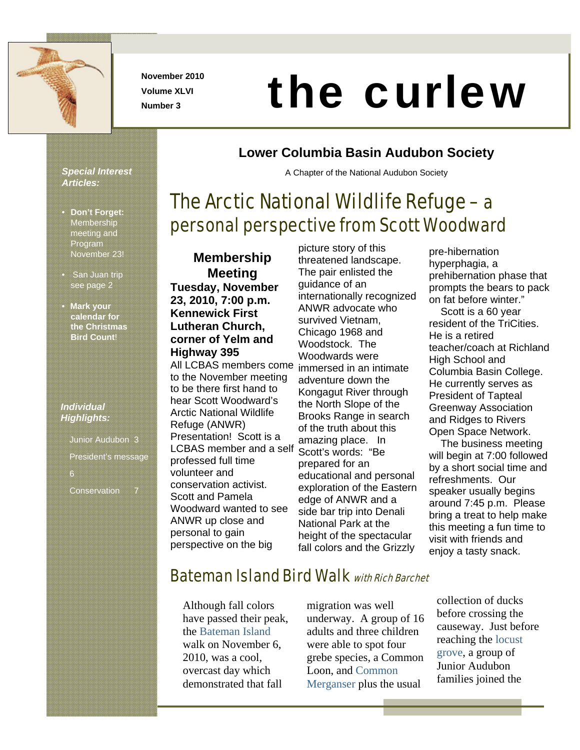

**November 2010 Volume XLVI** 

# November 2010<br>Number 3

**Lower Columbia Basin Audubon Society** 

A Chapter of the National Audubon Society

The Arctic National Wildlife Refuge – a

personal perspective from Scott Woodward

#### *Special Interest Articles:*

- **Don't Forget: Membership** meeting and Program November 23!
- San Juan trip see page 2
- **Mark your calendar for the Christmas Bird Count**!

#### *Individual Highlights:*

Junior Audubon 3 President's message Conservation 7

**Membership Meeting Tuesday, November 23, 2010, 7:00 p.m. Kennewick First Lutheran Church, corner of Yelm and Highway 395**  All LCBAS members come to the November meeting to be there first hand to hear Scott Woodward's

Arctic National Wildlife Refuge (ANWR) Presentation! Scott is a LCBAS member and a self professed full time volunteer and conservation activist. Scott and Pamela Woodward wanted to see ANWR up close and personal to gain perspective on the big

picture story of this threatened landscape. The pair enlisted the guidance of an internationally recognized ANWR advocate who survived Vietnam, Chicago 1968 and Woodstock. The Woodwards were immersed in an intimate adventure down the Kongagut River through the North Slope of the Brooks Range in search of the truth about this amazing place. In Scott's words: "Be prepared for an educational and personal exploration of the Eastern edge of ANWR and a side bar trip into Denali National Park at the height of the spectacular fall colors and the Grizzly

pre-hibernation hyperphagia, a prehibernation phase that prompts the bears to pack on fat before winter." Scott is a 60 year resident of the TriCities. He is a retired teacher/coach at Richland High School and Columbia Basin College. He currently serves as President of Tapteal Greenway Association and Ridges to Rivers Open Space Network.

 The business meeting will begin at 7:00 followed by a short social time and refreshments. Our speaker usually begins around 7:45 p.m. Please bring a treat to help make this meeting a fun time to visit with friends and enjoy a tasty snack.

#### Bateman Island Bird Walk with Rich Barchet

Although fall colors have passed their peak, the Bateman Island walk on November 6, 2010, was a cool, overcast day which demonstrated that fall

migration was well underway. A group of 16 adults and three children were able to spot four grebe species, a Common Loon, and Common Merganser plus the usual

collection of ducks before crossing the causeway. Just before reaching the locust grove, a group of Junior Audubon families joined the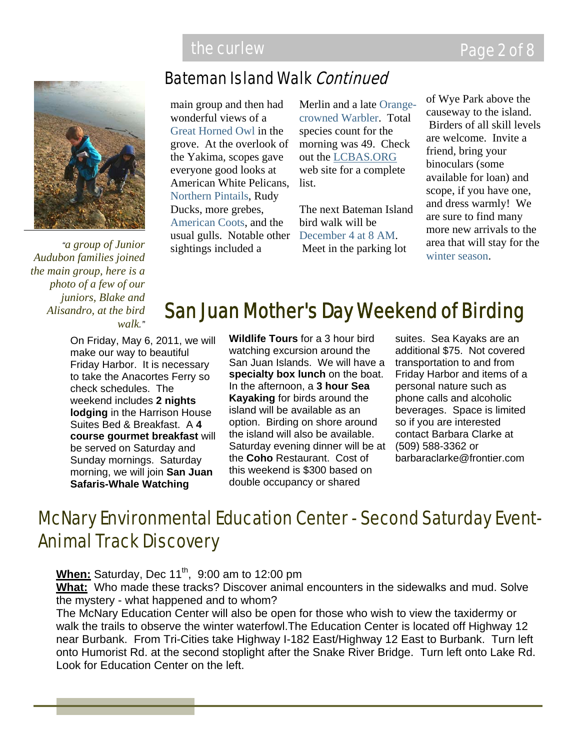

*"a group of Junior Audubon families joined the main group, here is a photo of a few of our juniors, Blake and Alisandro, at the bird walk."*

#### Bateman Island Walk Continued

main group and then had wonderful views of a Great Horned Owl in the grove. At the overlook of the Yakima, scopes gave everyone good looks at American White Pelicans, Northern Pintails, Rudy Ducks, more grebes, American Coots, and the usual gulls. Notable other sightings included a

Merlin and a late Orangecrowned Warbler. Total species count for the morning was 49. Check out the LCBAS.ORG web site for a complete list.

The next Bateman Island bird walk will be December 4 at 8 AM. Meet in the parking lot

of Wye Park above the causeway to the island. Birders of all skill levels are welcome. Invite a friend, bring your binoculars (some available for loan) and scope, if you have one, and dress warmly! We are sure to find many more new arrivals to the area that will stay for the winter season.

## San Juan Mother's Day Weekend of Birding

On Friday, May 6, 2011, we will make our way to beautiful Friday Harbor. It is necessary to take the Anacortes Ferry so check schedules. The weekend includes **2 nights lodging** in the Harrison House Suites Bed & Breakfast. A **4 course gourmet breakfast** will be served on Saturday and Sunday mornings. Saturday morning, we will join **San Juan Safaris-Whale Watching** 

**Wildlife Tours** for a 3 hour bird watching excursion around the San Juan Islands. We will have a **specialty box lunch** on the boat. In the afternoon, a **3 hour Sea Kayaking** for birds around the island will be available as an option. Birding on shore around the island will also be available. Saturday evening dinner will be at the **Coho** Restaurant. Cost of this weekend is \$300 based on double occupancy or shared

suites. Sea Kayaks are an additional \$75. Not covered transportation to and from Friday Harbor and items of a personal nature such as phone calls and alcoholic beverages. Space is limited so if you are interested contact Barbara Clarke at (509) 588-3362 or barbaraclarke@frontier.com

## McNary Environmental Education Center - Second Saturday Event-Animal Track Discovery

**When:** Saturday, Dec 11<sup>th</sup>, 9:00 am to 12:00 pm

**What:** Who made these tracks? Discover animal encounters in the sidewalks and mud. Solve the mystery - what happened and to whom?

The McNary Education Center will also be open for those who wish to view the taxidermy or walk the trails to observe the winter waterfowl.The Education Center is located off Highway 12 near Burbank. From Tri-Cities take Highway I-182 East/Highway 12 East to Burbank. Turn left onto Humorist Rd. at the second stoplight after the Snake River Bridge. Turn left onto Lake Rd. Look for Education Center on the left.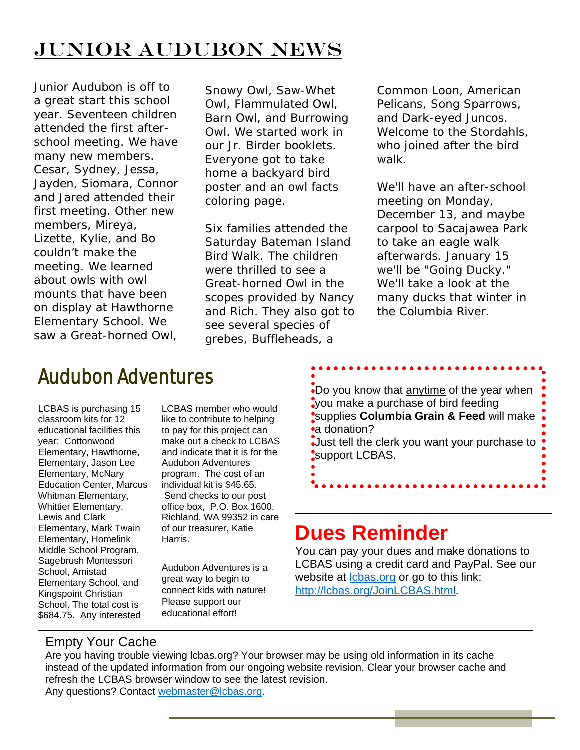# Junior Audubon News

Junior Audubon is off to a great start this school year. Seventeen children attended the first afterschool meeting. We have many new members. Cesar, Sydney, Jessa, Jayden, Siomara, Connor and Jared attended their first meeting. Other new members, Mireya, Lizette, Kylie, and Bo couldn't make the meeting. We learned about owls with owl mounts that have been on display at Hawthorne Elementary School. We saw a Great-horned Owl,

Snowy Owl, Saw-Whet Owl, Flammulated Owl, Barn Owl, and Burrowing Owl. We started work in our Jr. Birder booklets. Everyone got to take home a backyard bird poster and an owl facts coloring page.

Six families attended the Saturday Bateman Island Bird Walk. The children were thrilled to see a Great-horned Owl in the scopes provided by Nancy and Rich. They also got to see several species of grebes, Buffleheads, a

Common Loon, American Pelicans, Song Sparrows, and Dark-eyed Juncos. Welcome to the Stordahls, who joined after the bird walk.

We'll have an after-school meeting on Monday, December 13, and maybe carpool to Sacajawea Park to take an eagle walk afterwards. January 15 we'll be "Going Ducky." We'll take a look at the many ducks that winter in the Columbia River.

# Audubon Adventures

LCBAS is purchasing 15 classroom kits for 12 educational facilities this year: Cottonwood Elementary, Hawthorne, Elementary, Jason Lee Elementary, McNary Education Center, Marcus Whitman Elementary, Whittier Elementary, Lewis and Clark Elementary, Mark Twain Elementary, Homelink Middle School Program, Sagebrush Montessori School, Amistad Elementary School, and Kingspoint Christian School. The total cost is \$684.75. Any interested

LCBAS member who would like to contribute to helping to pay for this project can make out a check to LCBAS and indicate that it is for the Audubon Adventures program. The cost of an individual kit is \$45.65. Send checks to our post office box, P.O. Box 1600, Richland, WA 99352 in care of our treasurer, Katie Harris.

Audubon Adventures is a great way to begin to connect kids with nature! Please support our educational effort!

Do you know that anytime of the year when you make a purchase of bird feeding supplies **Columbia Grain & Feed** will make •a donation? Just tell the clerk you want your purchase to support LCBAS.

# **Dues Reminder**

You can pay your dues and make donations to LCBAS using a credit card and PayPal. See our website at **chas.org** or go to this link: http://lcbas.org/JoinLCBAS.html.

#### Empty Your Cache

Are you having trouble viewing lcbas.org? Your browser may be using old information in its cache instead of the updated information from our ongoing website revision. Clear your browser cache and refresh the LCBAS browser window to see the latest revision. Any questions? Contact webmaster@lcbas.org.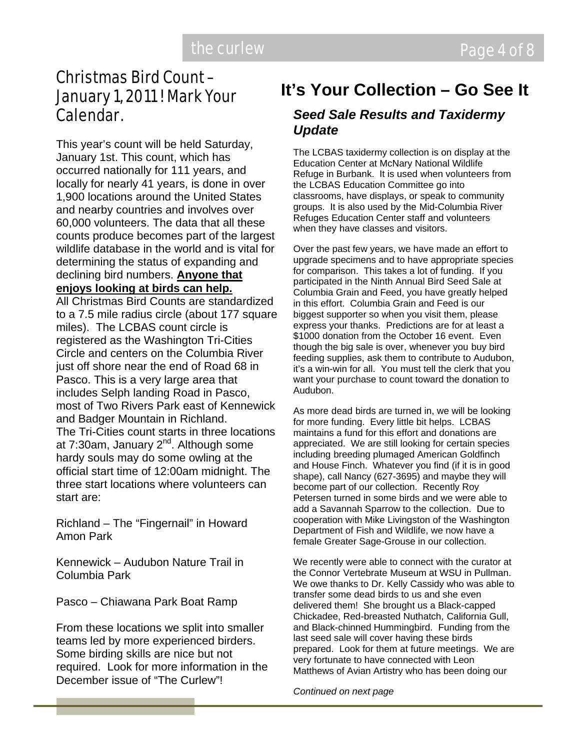# Christmas Bird Count – January 1, 2011 ! Mark Your

This year's count will be held Saturday, January 1st. This count, which has occurred nationally for 111 years, and locally for nearly 41 years, is done in over 1,900 locations around the United States and nearby countries and involves over 60,000 volunteers. The data that all these counts produce becomes part of the largest wildlife database in the world and is vital for determining the status of expanding and declining bird numbers. **Anyone that enjoys looking at birds can help.**

All Christmas Bird Counts are standardized to a 7.5 mile radius circle (about 177 square miles). The LCBAS count circle is registered as the Washington Tri-Cities Circle and centers on the Columbia River just off shore near the end of Road 68 in Pasco. This is a very large area that includes Selph landing Road in Pasco, most of Two Rivers Park east of Kennewick and Badger Mountain in Richland. The Tri-Cities count starts in three locations at 7:30am, January  $2^{nd}$ . Although some hardy souls may do some owling at the official start time of 12:00am midnight. The three start locations where volunteers can start are:

Richland – The "Fingernail" in Howard Amon Park

Kennewick – Audubon Nature Trail in Columbia Park

Pasco – Chiawana Park Boat Ramp

From these locations we split into smaller teams led by more experienced birders. Some birding skills are nice but not required. Look for more information in the December issue of "The Curlew"!

#### **It's Your Collection – Go See It**

#### Calendar. *Seed Sale Results and Taxidermy Update*

The LCBAS taxidermy collection is on display at the Education Center at McNary National Wildlife Refuge in Burbank. It is used when volunteers from the LCBAS Education Committee go into classrooms, have displays, or speak to community groups. It is also used by the Mid-Columbia River Refuges Education Center staff and volunteers when they have classes and visitors.

Over the past few years, we have made an effort to upgrade specimens and to have appropriate species for comparison. This takes a lot of funding. If you participated in the Ninth Annual Bird Seed Sale at Columbia Grain and Feed, you have greatly helped in this effort. Columbia Grain and Feed is our biggest supporter so when you visit them, please express your thanks. Predictions are for at least a \$1000 donation from the October 16 event. Even though the big sale is over, whenever you buy bird feeding supplies, ask them to contribute to Audubon, it's a win-win for all. You must tell the clerk that you want your purchase to count toward the donation to Audubon.

As more dead birds are turned in, we will be looking for more funding. Every little bit helps. LCBAS maintains a fund for this effort and donations are appreciated. We are still looking for certain species including breeding plumaged American Goldfinch and House Finch. Whatever you find (if it is in good shape), call Nancy (627-3695) and maybe they will become part of our collection. Recently Roy Petersen turned in some birds and we were able to add a Savannah Sparrow to the collection. Due to cooperation with Mike Livingston of the Washington Department of Fish and Wildlife, we now have a female Greater Sage-Grouse in our collection.

We recently were able to connect with the curator at the Connor Vertebrate Museum at WSU in Pullman. We owe thanks to Dr. Kelly Cassidy who was able to transfer some dead birds to us and she even delivered them! She brought us a Black-capped Chickadee, Red-breasted Nuthatch, California Gull, and Black-chinned Hummingbird. Funding from the last seed sale will cover having these birds prepared. Look for them at future meetings. We are very fortunate to have connected with Leon Matthews of Avian Artistry who has been doing our

*Continued on next page*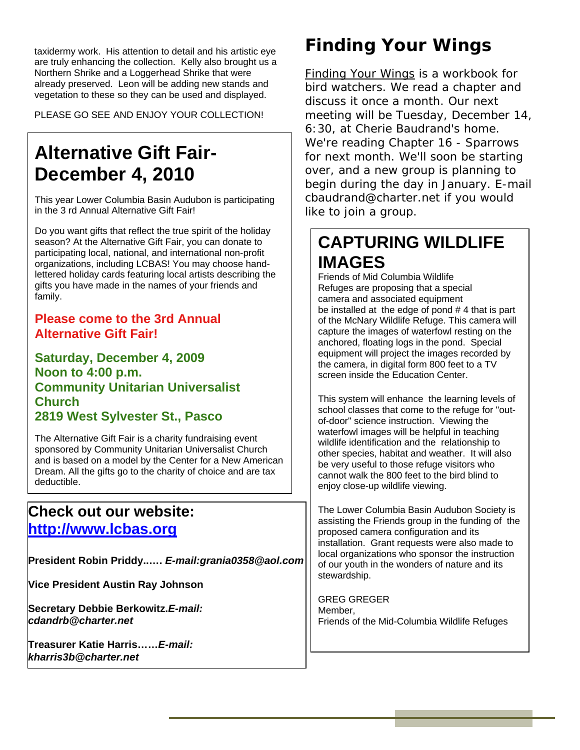taxidermy work. His attention to detail and his artistic eye are truly enhancing the collection. Kelly also brought us a Northern Shrike and a Loggerhead Shrike that were already preserved. Leon will be adding new stands and vegetation to these so they can be used and displayed.

PLEASE GO SEE AND ENJOY YOUR COLLECTION!

# **Alternative Gift Fair-December 4, 2010**

This year Lower Columbia Basin Audubon is participating in the 3 rd Annual Alternative Gift Fair!

Do you want gifts that reflect the true spirit of the holiday season? At the Alternative Gift Fair, you can donate to participating local, national, and international non-profit organizations, including LCBAS! You may choose handlettered holiday cards featuring local artists describing the gifts you have made in the names of your friends and family.

#### **Please come to the 3rd Annual Alternative Gift Fair!**

**Saturday, December 4, 2009 Noon to 4:00 p.m. Community Unitarian Universalist Church 2819 West Sylvester St., Pasco**

The Alternative Gift Fair is a charity fundraising event sponsored by Community Unitarian Universalist Church and is based on a model by the Center for a New American Dream. All the gifts go to the charity of choice and are tax deductible.

#### **Check out our website: http://www.lcbas.org**

**President Robin Priddy..….** *E-mail:grania0358@aol.com*

**Vice President Austin Ray Johnson**

**Secretary Debbie Berkowitz.***E-mail: cdandrb@charter.net* 

**Treasurer Katie Harris……***E-mail: kharris3b@charter.net*

#### *Finding Your Wings*

Finding Your Wings is a workbook for bird watchers. We read a chapter and discuss it once a month. Our next meeting will be Tuesday, December 14, 6:30, at Cherie Baudrand's home. We're reading Chapter 16 - Sparrows for next month. We'll soon be starting over, and a new group is planning to begin during the day in January. E-mail cbaudrand@charter.net if you would like to join a group.

#### **CAPTURING WILDLIFE IMAGES**

Friends of Mid Columbia Wildlife Refuges are proposing that a special camera and associated equipment be installed at the edge of pond # 4 that is part of the McNary Wildlife Refuge. This camera will capture the images of waterfowl resting on the anchored, floating logs in the pond. Special equipment will project the images recorded by the camera, in digital form 800 feet to a TV screen inside the Education Center.

This system will enhance the learning levels of school classes that come to the refuge for "outof-door" science instruction. Viewing the waterfowl images will be helpful in teaching wildlife identification and the relationship to other species, habitat and weather. It will also be very useful to those refuge visitors who cannot walk the 800 feet to the bird blind to enjoy close-up wildlife viewing.

The Lower Columbia Basin Audubon Society is assisting the Friends group in the funding of the proposed camera configuration and its installation. Grant requests were also made to local organizations who sponsor the instruction of our youth in the wonders of nature and its stewardship.

GREG GREGER Member, Friends of the Mid-Columbia Wildlife Refuges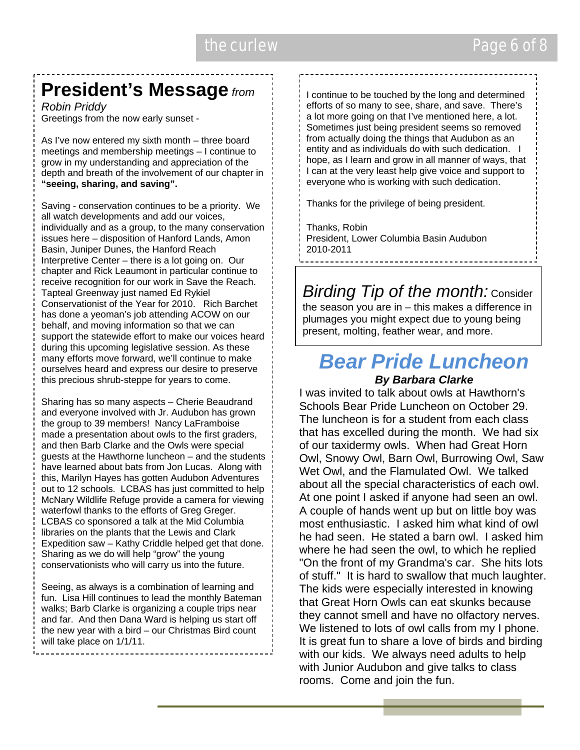#### the curlew **Page 6 of 8**

# **President's Message** *from*

*Robin Priddy*  Greetings from the now early sunset -

As I've now entered my sixth month – three board meetings and membership meetings – I continue to grow in my understanding and appreciation of the depth and breath of the involvement of our chapter in **"seeing, sharing, and saving".** 

Saving - conservation continues to be a priority. We all watch developments and add our voices, individually and as a group, to the many conservation issues here – disposition of Hanford Lands, Amon Basin, Juniper Dunes, the Hanford Reach Interpretive Center – there is a lot going on. Our chapter and Rick Leaumont in particular continue to receive recognition for our work in Save the Reach. Tapteal Greenway just named Ed Rykiel Conservationist of the Year for 2010. Rich Barchet has done a yeoman's job attending ACOW on our behalf, and moving information so that we can support the statewide effort to make our voices heard during this upcoming legislative session. As these many efforts move forward, we'll continue to make ourselves heard and express our desire to preserve this precious shrub-steppe for years to come.

Sharing has so many aspects – Cherie Beaudrand and everyone involved with Jr. Audubon has grown the group to 39 members! Nancy LaFramboise made a presentation about owls to the first graders, and then Barb Clarke and the Owls were special guests at the Hawthorne luncheon – and the students have learned about bats from Jon Lucas. Along with this, Marilyn Hayes has gotten Audubon Adventures out to 12 schools. LCBAS has just committed to help McNary Wildlife Refuge provide a camera for viewing waterfowl thanks to the efforts of Greg Greger. LCBAS co sponsored a talk at the Mid Columbia libraries on the plants that the Lewis and Clark Expedition saw – Kathy Criddle helped get that done. Sharing as we do will help "grow" the young conservationists who will carry us into the future.

|<br>|<br>|

Seeing, as always is a combination of learning and fun. Lisa Hill continues to lead the monthly Bateman walks; Barb Clarke is organizing a couple trips near and far. And then Dana Ward is helping us start off the new year with a bird – our Christmas Bird count will take place on 1/1/11.

I continue to be touched by the long and determined efforts of so many to see, share, and save. There's a lot more going on that I've mentioned here, a lot. Sometimes just being president seems so removed from actually doing the things that Audubon as an entity and as individuals do with such dedication. I hope, as I learn and grow in all manner of ways, that I can at the very least help give voice and support to everyone who is working with such dedication.

Thanks for the privilege of being president.

Thanks, Robin President, Lower Columbia Basin Audubon 2010-2011

*<i>Birding Tip of the month:* **Consider** the season you are in – this makes a difference in plumages you might expect due to young being present, molting, feather wear, and more.

# *Bear Pride Luncheon*

#### *By Barbara Clarke*

I was invited to talk about owls at Hawthorn's Schools Bear Pride Luncheon on October 29. The luncheon is for a student from each class that has excelled during the month. We had six of our taxidermy owls. When had Great Horn Owl, Snowy Owl, Barn Owl, Burrowing Owl, Saw Wet Owl, and the Flamulated Owl. We talked about all the special characteristics of each owl. At one point I asked if anyone had seen an owl. A couple of hands went up but on little boy was most enthusiastic. I asked him what kind of owl he had seen. He stated a barn owl. I asked him where he had seen the owl, to which he replied "On the front of my Grandma's car. She hits lots of stuff." It is hard to swallow that much laughter. The kids were especially interested in knowing that Great Horn Owls can eat skunks because they cannot smell and have no olfactory nerves. We listened to lots of owl calls from my I phone. It is great fun to share a love of birds and birding with our kids. We always need adults to help with Junior Audubon and give talks to class rooms. Come and join the fun.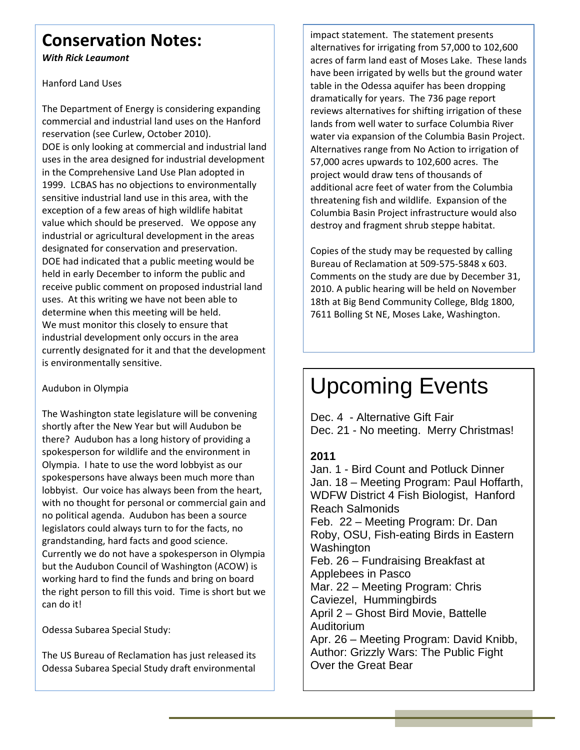#### **Conservation Notes:**

*With Rick Leaumont*

Hanford Land Uses

The Department of Energy is considering expanding commercial and industrial land uses on the Hanford reservation (see Curlew, October 2010). DOE is only looking at commercial and industrial land uses in the area designed for industrial development in the Comprehensive Land Use Plan adopted in 1999. LCBAS has no objections to environmentally sensitive industrial land use in this area, with the exception of a few areas of high wildlife habitat value which should be preserved. We oppose any industrial or agricultural development in the areas designated for conservation and preservation. DOE had indicated that a public meeting would be held in early December to inform the public and receive public comment on proposed industrial land uses. At this writing we have not been able to determine when this meeting will be held. We must monitor this closely to ensure that industrial development only occurs in the area currently designated for it and that the development is environmentally sensitive.

#### Audubon in Olympia

The Washington state legislature will be convening shortly after the New Year but will Audubon be there? Audubon has a long history of providing a spokesperson for wildlife and the environment in Olympia. I hate to use the word lobbyist as our spokespersons have always been much more than lobbyist. Our voice has always been from the heart, with no thought for personal or commercial gain and no political agenda. Audubon has been a source legislators could always turn to for the facts, no grandstanding, hard facts and good science. Currently we do not have a spokesperson in Olympia but the Audubon Council of Washington (ACOW) is working hard to find the funds and bring on board the right person to fill this void. Time is short but we can do it!

Odessa Subarea Special Study:

The US Bureau of Reclamation has just released its Odessa Subarea Special Study draft environmental

impact statement. The statement presents alternatives for irrigating from 57,000 to 102,600 acres of farm land east of Moses Lake. These lands have been irrigated by wells but the ground water table in the Odessa aquifer has been dropping dramatically for years. The 736 page report reviews alternatives for shifting irrigation of these lands from well water to surface Columbia River water via expansion of the Columbia Basin Project. Alternatives range from No Action to irrigation of 57,000 acres upwards to 102,600 acres. The project would draw tens of thousands of additional acre feet of water from the Columbia threatening fish and wildlife. Expansion of the Columbia Basin Project infrastructure would also destroy and fragment shrub steppe habitat.

Copies of the study may be requested by calling Bureau of Reclamation at 509‐575‐5848 x 603. Comments on the study are due by December 31, 2010. A public hearing will be held on November 18th at Big Bend Community College, Bldg 1800, 7611 Bolling St NE, Moses Lake, Washington.

# Upcoming Events

Dec. 4 - Alternative Gift Fair Dec. 21 - No meeting. Merry Christmas!

#### **2011**

Jan. 1 - Bird Count and Potluck Dinner Jan. 18 – Meeting Program: Paul Hoffarth, WDFW District 4 Fish Biologist, Hanford Reach Salmonids Feb. 22 – Meeting Program: Dr. Dan Roby, OSU, Fish-eating Birds in Eastern Washington Feb. 26 – Fundraising Breakfast at Applebees in Pasco Mar. 22 – Meeting Program: Chris Caviezel, Hummingbirds April 2 – Ghost Bird Movie, Battelle Auditorium Apr. 26 – Meeting Program: David Knibb, Author: Grizzly Wars: The Public Fight Over the Great Bear